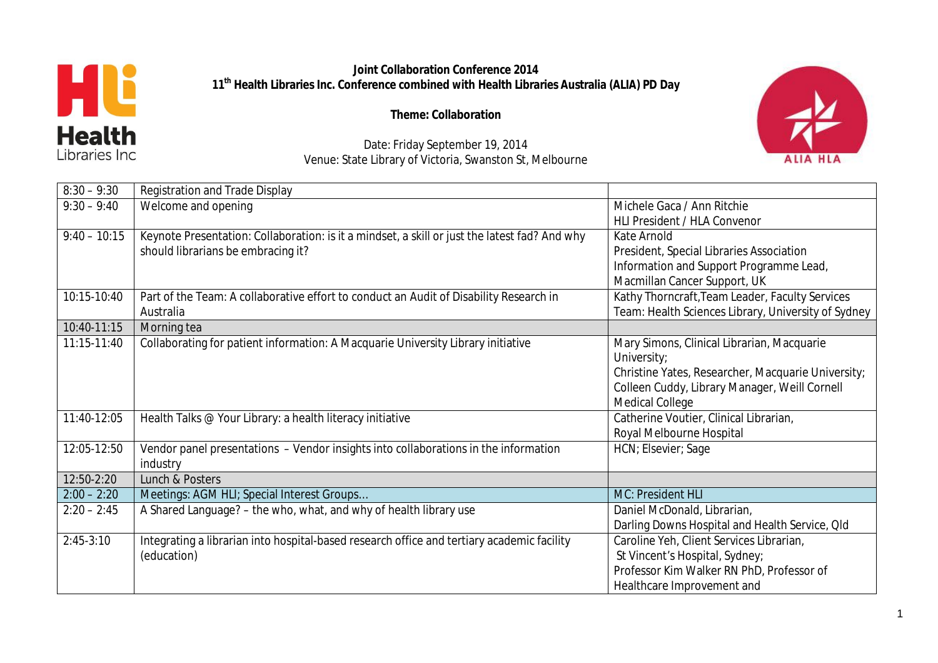

**Joint Collaboration Conference 2014 11th Health Libraries Inc. Conference combined with Health Libraries Australia (ALIA) PD Day**

**Theme: Collaboration**



Date: Friday September 19, 2014 Venue: State Library of Victoria, Swanston St, Melbourne

| Welcome and opening<br>$9:30 - 9:40$<br>Michele Gaca / Ann Ritchie<br><b>HLI President / HLA Convenor</b><br>$9:40 - 10:15$<br>Keynote Presentation: Collaboration: is it a mindset, a skill or just the latest fad? And why<br>Kate Arnold<br>should librarians be embracing it?<br>President, Special Libraries Association<br>Information and Support Programme Lead,<br>Macmillan Cancer Support, UK<br>10:15-10:40<br>Part of the Team: A collaborative effort to conduct an Audit of Disability Research in<br>Kathy Thorncraft, Team Leader, Faculty Services |
|----------------------------------------------------------------------------------------------------------------------------------------------------------------------------------------------------------------------------------------------------------------------------------------------------------------------------------------------------------------------------------------------------------------------------------------------------------------------------------------------------------------------------------------------------------------------|
|                                                                                                                                                                                                                                                                                                                                                                                                                                                                                                                                                                      |
|                                                                                                                                                                                                                                                                                                                                                                                                                                                                                                                                                                      |
|                                                                                                                                                                                                                                                                                                                                                                                                                                                                                                                                                                      |
|                                                                                                                                                                                                                                                                                                                                                                                                                                                                                                                                                                      |
|                                                                                                                                                                                                                                                                                                                                                                                                                                                                                                                                                                      |
|                                                                                                                                                                                                                                                                                                                                                                                                                                                                                                                                                                      |
|                                                                                                                                                                                                                                                                                                                                                                                                                                                                                                                                                                      |
| Team: Health Sciences Library, University of Sydney<br>Australia                                                                                                                                                                                                                                                                                                                                                                                                                                                                                                     |
| 10:40-11:15<br>Morning tea                                                                                                                                                                                                                                                                                                                                                                                                                                                                                                                                           |
| Collaborating for patient information: A Macquarie University Library initiative<br>11:15-11:40<br>Mary Simons, Clinical Librarian, Macquarie                                                                                                                                                                                                                                                                                                                                                                                                                        |
| University;                                                                                                                                                                                                                                                                                                                                                                                                                                                                                                                                                          |
| Christine Yates, Researcher, Macquarie University;                                                                                                                                                                                                                                                                                                                                                                                                                                                                                                                   |
| Colleen Cuddy, Library Manager, Weill Cornell                                                                                                                                                                                                                                                                                                                                                                                                                                                                                                                        |
| <b>Medical College</b>                                                                                                                                                                                                                                                                                                                                                                                                                                                                                                                                               |
| Health Talks @ Your Library: a health literacy initiative<br>11:40-12:05<br>Catherine Voutier, Clinical Librarian,                                                                                                                                                                                                                                                                                                                                                                                                                                                   |
| Royal Melbourne Hospital                                                                                                                                                                                                                                                                                                                                                                                                                                                                                                                                             |
| 12:05-12:50<br>Vendor panel presentations - Vendor insights into collaborations in the information<br>HCN; Elsevier; Sage                                                                                                                                                                                                                                                                                                                                                                                                                                            |
| industry                                                                                                                                                                                                                                                                                                                                                                                                                                                                                                                                                             |
| 12:50-2:20<br>Lunch & Posters                                                                                                                                                                                                                                                                                                                                                                                                                                                                                                                                        |
| MC: President HLI<br>$2:00 - 2:20$<br>Meetings: AGM HLI; Special Interest Groups                                                                                                                                                                                                                                                                                                                                                                                                                                                                                     |
| A Shared Language? - the who, what, and why of health library use<br>Daniel McDonald, Librarian,<br>$2:20 - 2:45$                                                                                                                                                                                                                                                                                                                                                                                                                                                    |
| Darling Downs Hospital and Health Service, Old                                                                                                                                                                                                                                                                                                                                                                                                                                                                                                                       |
| $2:45-3:10$<br>Integrating a librarian into hospital-based research office and tertiary academic facility<br>Caroline Yeh, Client Services Librarian,                                                                                                                                                                                                                                                                                                                                                                                                                |
| (education)<br>St Vincent's Hospital, Sydney;                                                                                                                                                                                                                                                                                                                                                                                                                                                                                                                        |
| Professor Kim Walker RN PhD, Professor of                                                                                                                                                                                                                                                                                                                                                                                                                                                                                                                            |
| Healthcare Improvement and                                                                                                                                                                                                                                                                                                                                                                                                                                                                                                                                           |